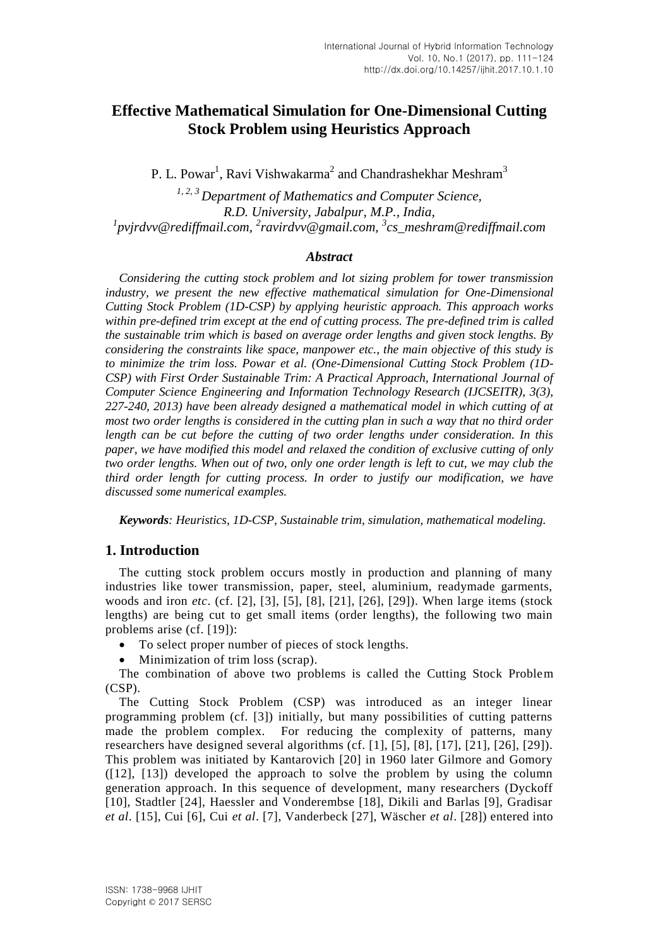# **Effective Mathematical Simulation for One-Dimensional Cutting Stock Problem using Heuristics Approach**

P. L. Powar<sup>1</sup>, Ravi Vishwakarma<sup>2</sup> and Chandrashekhar Meshram<sup>3</sup>

*1, 2, 3 Department of Mathematics and Computer Science, R.D. University, Jabalpur, M.P., India, 1 pvjrdvv@rediffmail.com, <sup>2</sup> ravirdvv@gmail.com, <sup>3</sup> cs\_meshram@rediffmail.com*

#### *Abstract*

*Considering the cutting stock problem and lot sizing problem for tower transmission*  industry, we present the new effective mathematical simulation for One-Dimensional *Cutting Stock Problem (1D-CSP) by applying heuristic approach. This approach works within pre-defined trim except at the end of cutting process. The pre-defined trim is called the sustainable trim which is based on average order lengths and given stock lengths. By considering the constraints like space, manpower etc., the main objective of this study is to minimize the trim loss. Powar et al. (One-Dimensional Cutting Stock Problem (1D-CSP) with First Order Sustainable Trim: A Practical Approach, International Journal of Computer Science Engineering and Information Technology Research (IJCSEITR), 3(3), 227-240, 2013) have been already designed a mathematical model in which cutting of at most two order lengths is considered in the cutting plan in such a way that no third order length can be cut before the cutting of two order lengths under consideration. In this paper, we have modified this model and relaxed the condition of exclusive cutting of only two order lengths. When out of two, only one order length is left to cut, we may club the third order length for cutting process. In order to justify our modification, we have discussed some numerical examples.*

*Keywords: Heuristics, 1D-CSP, Sustainable trim, simulation, mathematical modeling.*

# **1. Introduction**

The cutting stock problem occurs mostly in production and planning of many industries like tower transmission, paper, steel, aluminium, readymade garments, woods and iron *etc*. (cf. [2], [3], [5], [8], [21], [26], [29]). When large items (stock lengths) are being cut to get small items (order lengths), the following two main problems arise (cf. [19]):

- To select proper number of pieces of stock lengths.
- Minimization of trim loss (scrap).

The combination of above two problems is called the Cutting Stock Problem (CSP).

The Cutting Stock Problem (CSP) was introduced as an integer linear programming problem (cf. [3]) initially, but many possibilities of cutting patterns made the problem complex. For reducing the complexity of patterns, many researchers have designed several algorithms (cf. [1], [5], [8], [17], [21], [26], [29]). This problem was initiated by Kantarovich [20] in 1960 later Gilmore and Gomory ([12], [13]) developed the approach to solve the problem by using the column generation approach. In this sequence of development, many researchers (Dyckoff [10], Stadtler [24], Haessler and Vonderembse [18], Dikili and Barlas [9], Gradisar *et al*. [15], Cui [6], Cui *et al*. [7], Vanderbeck [27], Wäscher *et al*. [28]) entered into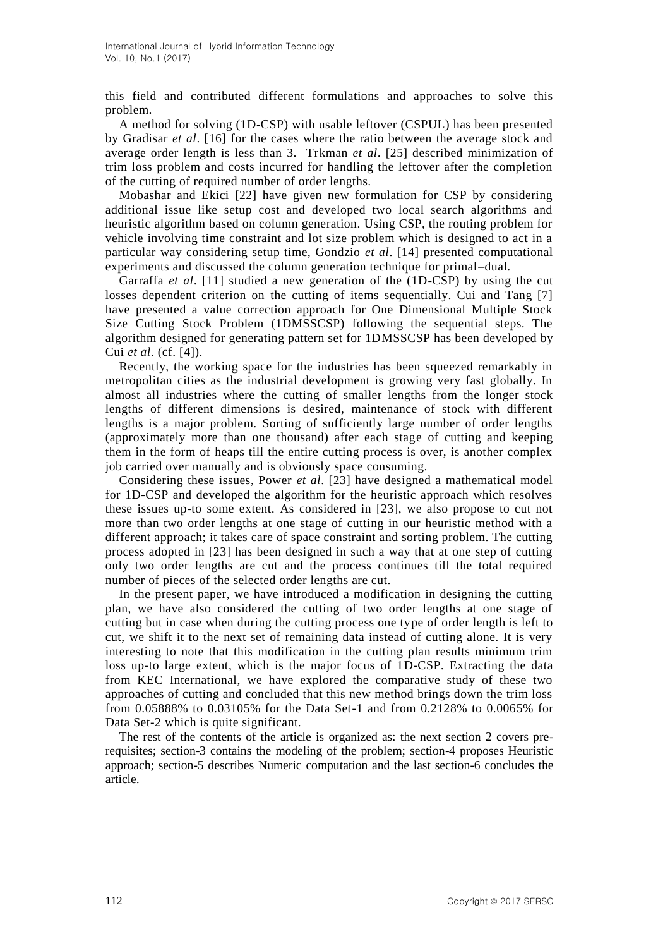this field and contributed different formulations and approaches to solve this problem.

A method for solving (1D-CSP) with usable leftover (CSPUL) has been presented by Gradisar *et al*. [16] for the cases where the ratio between the average stock and average order length is less than 3. Trkman *et al*. [25] described minimization of trim loss problem and costs incurred for handling the leftover after the completion of the cutting of required number of order lengths.

Mobashar and Ekici [22] have given new formulation for CSP by considering additional issue like setup cost and developed two local search algorithms and heuristic algorithm based on column generation. Using CSP, the routing problem for vehicle involving time constraint and lot size problem which is designed to act in a particular way considering setup time, Gondzio *et al*. [14] presented computational experiments and discussed the column generation technique for primal–dual.

Garraffa *et al*. [11] studied a new generation of the (1D-CSP) by using the cut losses dependent criterion on the cutting of items sequentially. Cui and Tang [7] have presented a value correction approach for One Dimensional Multiple Stock Size Cutting Stock Problem (1DMSSCSP) following the sequential steps. The algorithm designed for generating pattern set for 1DMSSCSP has been developed by Cui *et al*. (cf. [4]).

Recently, the working space for the industries has been squeezed remarkably in metropolitan cities as the industrial development is growing very fast globally. In almost all industries where the cutting of smaller lengths from the longer stock lengths of different dimensions is desired, maintenance of stock with different lengths is a major problem. Sorting of sufficiently large number of order lengths (approximately more than one thousand) after each stage of cutting and keeping them in the form of heaps till the entire cutting process is over, is another complex job carried over manually and is obviously space consuming.

Considering these issues, Power *et al*. [23] have designed a mathematical model for 1D-CSP and developed the algorithm for the heuristic approach which resolves these issues up-to some extent. As considered in [23], we also propose to cut not more than two order lengths at one stage of cutting in our heuristic method with a different approach; it takes care of space constraint and sorting problem. The cutting process adopted in [23] has been designed in such a way that at one step of cutting only two order lengths are cut and the process continues till the total required number of pieces of the selected order lengths are cut.

In the present paper, we have introduced a modification in designing the cutting plan, we have also considered the cutting of two order lengths at one stage of cutting but in case when during the cutting process one type of order length is left to cut, we shift it to the next set of remaining data instead of cutting alone. It is very interesting to note that this modification in the cutting plan results minimum trim loss up-to large extent, which is the major focus of 1D-CSP. Extracting the data from KEC International, we have explored the comparative study of these two approaches of cutting and concluded that this new method brings down the trim loss from 0.05888% to 0.03105% for the Data Set-1 and from 0.2128% to 0.0065% for Data Set-2 which is quite significant.

The rest of the contents of the article is organized as: the next section 2 covers prerequisites; section-3 contains the modeling of the problem; section-4 proposes Heuristic approach; section-5 describes Numeric computation and the last section-6 concludes the article.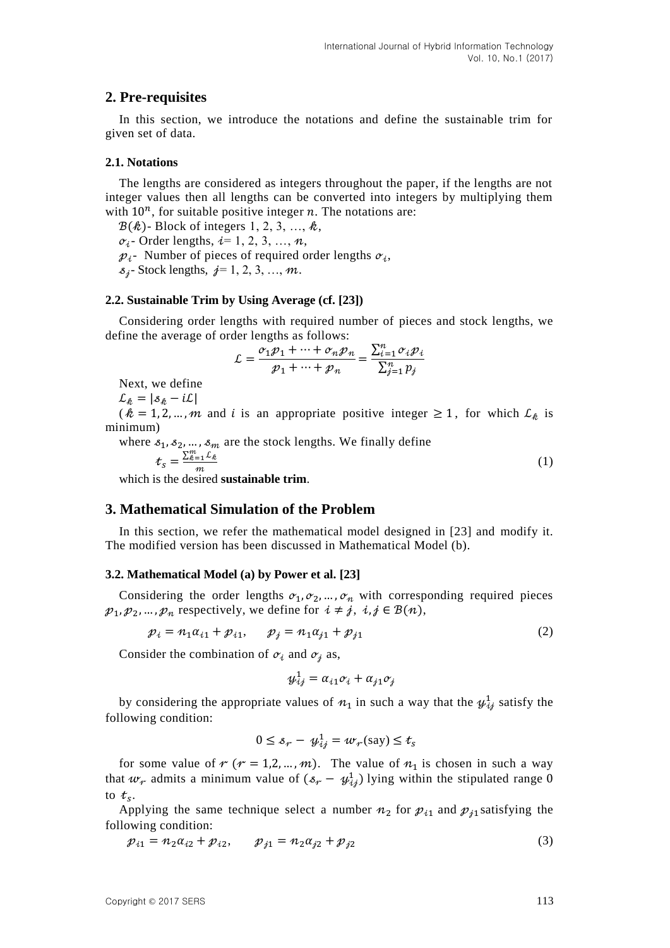# **2. Pre-requisites**

In this section, we introduce the notations and define the sustainable trim for given set of data.

### **2.1. Notations**

The lengths are considered as integers throughout the paper, if the lengths are not integer values then all lengths can be converted into integers by multiplying them with  $10^n$ , for suitable positive integer n. The notations are:

 $B(\mathcal{R})$ - Block of integers 1, 2, 3, ...,  $\mathcal{R}$ ,

 $\sigma_i$ - Order lengths,  $i=1, 2, 3, ..., n$ ,

 $p_i$ - Number of pieces of required order lengths  $\sigma_i$ ,

 $s_i$ - Stock lengths,  $j=1, 2, 3, ..., m$ .

### **2.2. Sustainable Trim by Using Average (cf. [23])**

Considering order lengths with required number of pieces and stock lengths, we define the average of order lengths as follows:

$$
\mathcal{L} = \frac{\sigma_1 p_1 + \dots + \sigma_n p_n}{p_1 + \dots + p_n} = \frac{\sum_{i=1}^n \sigma_i p_i}{\sum_{j=1}^n p_j}
$$

Next, we define

 $\mathcal{L}_{k} = |\mathcal{S}_{k} - i\mathcal{L}|$ 

( $k = 1, 2, ..., m$  and i is an appropriate positive integer  $\ge 1$ , for which  $\mathcal{L}_k$  is minimum)

where  $s_1, s_2, ..., s_m$  are the stock lengths. We finally define  $t_s = \frac{\sum_{k=1}^{m} L}{m}$ (1)

 $\boldsymbol{m}$ which is the desired **sustainable trim**.

# **3. Mathematical Simulation of the Problem**

In this section, we refer the mathematical model designed in [23] and modify it. The modified version has been discussed in Mathematical Model (b).

### **3.2. Mathematical Model (a) by Power et al. [23]**

Considering the order lengths  $\sigma_1, \sigma_2, ..., \sigma_n$  with corresponding required pieces  $p_1, p_2, ..., p_n$  respectively, we define for  $i \neq j$ ,  $i, j \in B(n)$ ,

$$
p_i = n_1 \alpha_{i1} + p_{i1}, \qquad p_j = n_1 \alpha_{j1} + p_{j1}
$$
 (2)

Consider the combination of  $\sigma_i$  and  $\sigma_j$  as,

$$
\mathcal{Y}_{ij}^1 = \alpha_{i1}\sigma_i + \alpha_{j1}\sigma_j
$$

by considering the appropriate values of  $n_1$  in such a way that the  $\mathcal{Y}_{i,i}^1$  satisfy the following condition:

$$
0 \leq s_r - y_{ij}^1 = w_r(\text{say}) \leq t_s
$$

for some value of  $r (r = 1, 2, ..., m)$ . The value of  $n_1$  is chosen in such a way that  $w_r$  admits a minimum value of  $(s_r - y_{ij}^1)$  lying within the stipulated range to  $t_s$ .

Applying the same technique select a number  $n_2$  for  $p_{i1}$  and  $p_{i1}$  satisfying the following condition:

$$
p_{i1} = n_2 \alpha_{i2} + p_{i2}, \qquad p_{j1} = n_2 \alpha_{j2} + p_{j2}
$$
 (3)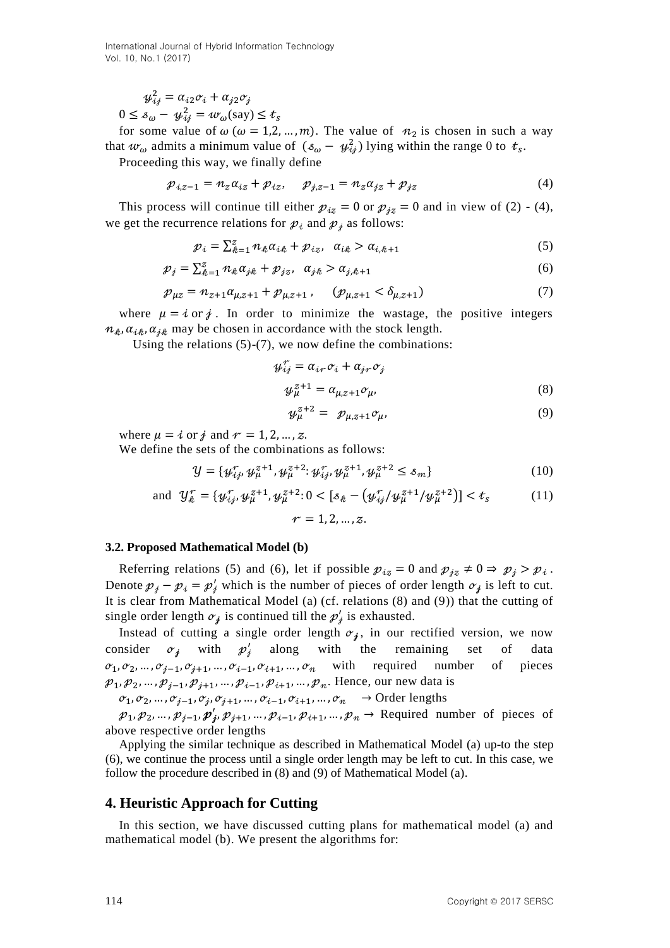$$
\begin{aligned} \psi_{ij}^2 &= \alpha_{i2}\sigma_i + \alpha_{j2}\sigma_j\\ 0 &\le \delta_\omega - \psi_{ij}^2 = \omega_\omega(\text{say}) \le \end{aligned}
$$

$$
\leq \mathcal{S}_{\omega} - \mathcal{Y}_{ij} = w_{\omega}(\text{say}) \leq t_s
$$

for some value of  $\omega$  ( $\omega = 1, 2, ..., m$ ). The value of  $n_2$  is chosen in such a way that  $w_{\omega}$  admits a minimum value of  $(s_{\omega} - \psi_{ii}^2)$  lying within the range 0 to  $t_s$ .

Proceeding this way, we finally define

$$
p_{i,z-1} = n_z \alpha_{iz} + p_{iz}, \quad p_{j,z-1} = n_z \alpha_{jz} + p_{jz}
$$
 (4)

This process will continue till either  $p_{iz} = 0$  or  $p_{iz} = 0$  and in view of (2) - (4), we get the recurrence relations for  $p_i$  and  $p_i$  as follows:

$$
p_i = \sum_{k=1}^{z} n_k \alpha_{ik} + p_{iz}, \quad \alpha_{ik} > \alpha_{i,k+1}
$$
 (5)

$$
\mathcal{P}_j = \sum_{k=1}^z n_k \alpha_{jk} + \mathcal{P}_{jz}, \quad \alpha_{jk} > \alpha_{j,k+1} \tag{6}
$$

$$
p_{\mu z} = n_{z+1} a_{\mu, z+1} + p_{\mu, z+1}, \quad (p_{\mu, z+1} < \delta_{\mu, z+1}) \tag{7}
$$

where  $\mu = i$  or j. In order to minimize the wastage, the positive integers  $n_k$ ,  $\alpha_{ik}$ ,  $\alpha_{ik}$  may be chosen in accordance with the stock length.

Using the relations (5)-(7), we now define the combinations:

$$
\begin{aligned} \n\mathbf{y}_{ij}^{\tau} &= \alpha_{ir} \sigma_i + \alpha_{jr} \sigma_j \\ \n\mathbf{y}_{\mu}^{z+1} &= \alpha_{\mu, z+1} \sigma_{\mu}, \n\end{aligned} \tag{8}
$$

$$
\mathcal{Y}_{\mu}^{z+2} = \mathcal{P}_{\mu,z+1} \mathcal{O}_{\mu},\tag{9}
$$

where  $\mu = i$  or j and  $r = 1, 2, ..., z$ .

We define the sets of the combinations as follows:

$$
\mathcal{Y} = \{ \psi_{ij}^r, \psi_{\mu}^{z+1}, \psi_{\mu}^{z+2} : \psi_{ij}^r, \psi_{\mu}^{z+1}, \psi_{\mu}^{z+2} \le s_m \}
$$
(10)

and 
$$
\mathcal{Y}_k^{\tau} = \{ \psi_{ij}^{\tau}, \psi_{\mu}^{z+1}, \psi_{\mu}^{z+2} : 0 < [s_k - (\psi_{ij}^{\tau}/\psi_{\mu}^{z+1}/\psi_{\mu}^{z+2})] < t_s
$$
 (11)

$$
r=1,2,...,z
$$

### **3.2. Proposed Mathematical Model (b)**

Referring relations (5) and (6), let if possible  $p_{iz} = 0$  and  $p_{iz} \neq 0 \Rightarrow p_i > p_i$ . Denote  $p_i - p_i = p'_i$  which is the number of pieces of order length  $\sigma_i$  is left to cut. It is clear from Mathematical Model (a) (cf. relations (8) and (9)) that the cutting of single order length  $\sigma_i$  is continued till the  $p'_i$  is exhausted.

Instead of cutting a single order length  $\sigma_i$ , in our rectified version, we now consider  $\sigma_i$  with  $p'_i$ with the remaining set of data  $\mathfrak{o}_1, \mathfrak{o}_2, \ldots, \mathfrak{o}_{j-1}, \mathfrak{o}_{j+1}, \ldots, \mathfrak{o}_{i-1}, \mathfrak{o}_{i+1}, \ldots, \mathfrak{o}_n$  with required number of pieces  $p_1, p_2, ..., p_{j-1}, p_{j+1}, ..., p_{i-1}, p_{i+1}, ..., p_n$ . Hence, our new data is

$$
\sigma_1, \sigma_2, \dots, \sigma_{j-1}, \sigma_j, \sigma_{j+1}, \dots, \sigma_{i-1}, \sigma_{i+1}, \dots, \sigma_n \longrightarrow \text{Order lengths}
$$

 $p_1, p_2, ..., p_{i-1}, p'_i, p_{i+1}, ..., p_{i-1}, p_{i+1}, ..., p_n$   $\rightarrow$  Required number of pieces of above respective order lengths

Applying the similar technique as described in Mathematical Model (a) up-to the step (6), we continue the process until a single order length may be left to cut. In this case, we follow the procedure described in (8) and (9) of Mathematical Model (a).

# **4. Heuristic Approach for Cutting**

In this section, we have discussed cutting plans for mathematical model (a) and mathematical model (b). We present the algorithms for: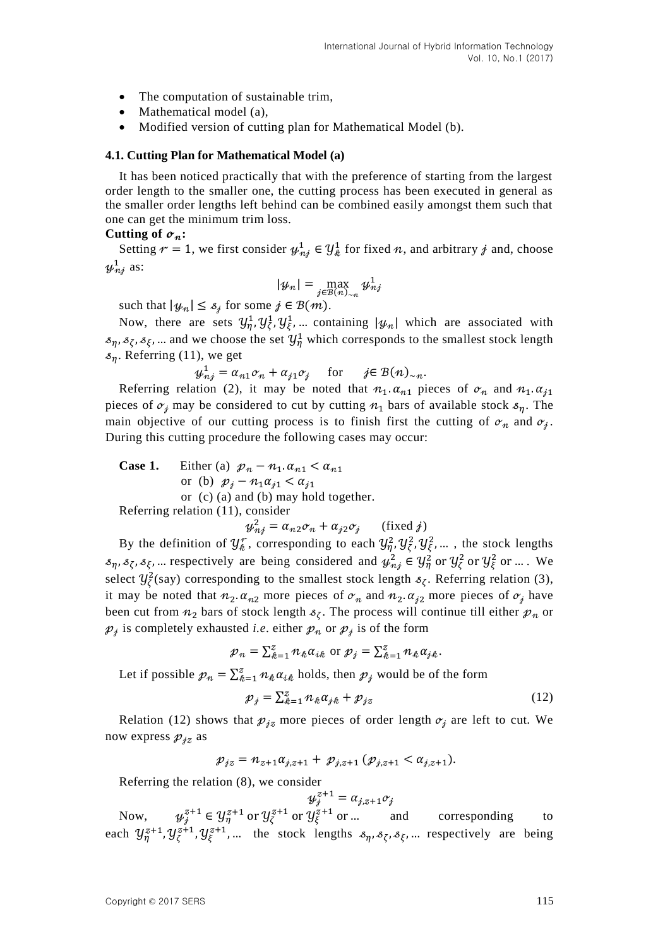- The computation of sustainable trim.
- Mathematical model (a),
- Modified version of cutting plan for Mathematical Model (b).

#### **4.1. Cutting Plan for Mathematical Model (a)**

It has been noticed practically that with the preference of starting from the largest order length to the smaller one, the cutting process has been executed in general as the smaller order lengths left behind can be combined easily amongst them such that one can get the minimum trim loss.

#### Cutting of  $\sigma_n$ :

Setting  $r = 1$ , we first consider  $\psi_{n,i}^1 \in \mathcal{Y}_{k}^1$  for fixed n, and arbitrary j and, choose  $y_{ni}^1$  as:

$$
|\psi_n| = \max_{j \in B(n)_{\sim n}} \psi_{nj}^1
$$

such that  $|\psi_n| \leq s_j$  for some  $j \in B(m)$ .

Now, there are sets  $y_n^1, y_\zeta^1, y_\zeta^1, ...$  containing  $|y_n|$  which are associated with  $s_n$ ,  $s_\zeta$ ,  $s_\zeta$ , ... and we choose the set  $\mathcal{Y}_n^1$  which corresponds to the smallest stock length  $s_n$ . Referring (11), we get

$$
\psi_{nj}^1 = \alpha_{n1}\sigma_n + \alpha_{j1}\sigma_j \quad \text{for} \quad j \in \mathcal{B}(n)_{\sim n}.
$$

Referring relation (2), it may be noted that  $n_1 \alpha_{n_1}$  pieces of  $\sigma_n$  and  $n_1 \alpha_{i_1}$ pieces of  $\sigma_i$  may be considered to cut by cutting  $n_1$  bars of available stock  $s_n$ . The main objective of our cutting process is to finish first the cutting of  $\sigma_n$  and  $\sigma_i$ . During this cutting procedure the following cases may occur:

Case 1. Either (a) 
$$
\mathcal{p}_n - n_1 \cdot \alpha_{n1} < \alpha_{n1}
$$
 or (b)  $\mathcal{p}_j - n_1 \alpha_{j1} < \alpha_{j1}$  or (c) (a) and (b) may hold together. Referring relation (11), consider

$$
\psi_{ni}^2 = \alpha_{n2}\sigma_n + \alpha_{j2}\sigma_j \qquad \text{(fixed } j\text{)}
$$

By the definition of  $\mathcal{Y}_{\ell}^{\gamma}$ , corresponding to each  $\mathcal{Y}_{n}^{2}, \mathcal{Y}_{\ell}^{2}, \mathcal{Y}_{\ell}^{2}$ , ..., the stock lengths  $s_n$ ,  $s_\zeta$ ,  $s_\xi$ , ... respectively are being considered and  $\psi_{ni}^2 \in \mathcal{Y}_n^2$  or  $\mathcal{Y}_\zeta^2$  or  $\mathcal{Y}_\zeta^2$  or ... We select  $\mathcal{Y}^2_{\zeta}$ (say) corresponding to the smallest stock length  $s_{\zeta}$ . Referring relation (3), it may be noted that  $n_2 \alpha_{n_2}$  more pieces of  $\sigma_n$  and  $n_2 \alpha_{i_2}$  more pieces of  $\sigma_i$  have been cut from  $n_2$  bars of stock length  $s_7$ . The process will continue till either  $p_n$  or  $p_i$  is completely exhausted *i.e.* either  $p_n$  or  $p_i$  is of the form

$$
p_n = \sum_{k=1}^z n_k \alpha_{ik} \text{ or } p_j = \sum_{k=1}^z n_k \alpha_{jk}.
$$

Let if possible  $p_n = \sum_{k=1}^{z} n_k \alpha_{ik}$  holds, then  $p_j$  would be of the form

$$
\mathcal{P}_j = \sum_{k=1}^z n_k \alpha_{jk} + \mathcal{P}_{jz} \tag{12}
$$

Relation (12) shows that  $p_{jz}$  more pieces of order length  $\sigma_j$  are left to cut. We now express  $p_{iz}$  as

$$
p_{jz} = n_{z+1} \alpha_{j,z+1} + p_{j,z+1} (p_{j,z+1} < \alpha_{j,z+1}).
$$

Referring the relation (8), we consider

$$
\mathcal{Y}_j^{z+1} = \alpha_{j,z+1} \sigma_j
$$

Now,  $\psi_i^{z+1} \in \mathcal{Y}_n^{z+1}$  or  $\mathcal{Y}_i^{z+1}$  or  $\mathcal{Y}_i^{z+1}$  or ... and corresponding to each  $\mathcal{Y}_n^{z+1}, \mathcal{Y}_n^{z+1}, \mathcal{Y}_n^{z+1}, \dots$  the stock lengths  $s_n, s_{\zeta}, s_{\xi}, \dots$  respectively are being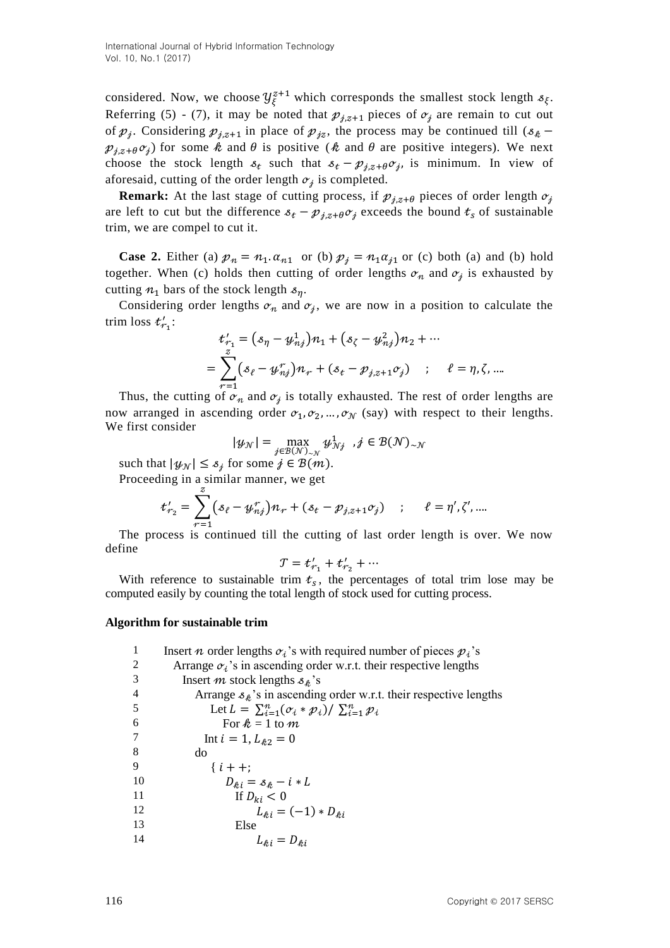considered. Now, we choose  $\mathcal{Y}_{\xi}^{z+1}$  which corresponds the smallest stock length  $s_{\xi}$ . Referring (5) - (7), it may be noted that  $p_{j,z+1}$  pieces of  $\sigma_j$  are remain to cut out of  $p_i$ . Considering  $p_{i \times 1}$  in place of  $p_{i \times 2}$ , the process may be continued till (s  $p_{i,z+\theta}$ , for some k and  $\theta$  is positive (k and  $\theta$  are positive integers). We next choose the stock length  $s_t$  such that  $s_t - \mathcal{p}_{i,z+\theta} \mathcal{O}_i$ , is minimum. In view of aforesaid, cutting of the order length  $\sigma_i$  is completed.

**Remark:** At the last stage of cutting process, if  $p_{i,z+\theta}$  pieces of order length  $\sigma_i$ are left to cut but the difference  $s_t - \mathcal{p}_{j,z+\theta} c_j$  exceeds the bound  $t_s$  of sustainable trim, we are compel to cut it.

**Case 2.** Either (a)  $p_n = n_1 \alpha_{n1}$  or (b)  $p_j = n_1 \alpha_{j1}$  or (c) both (a) and (b) hold together. When (c) holds then cutting of order lengths  $\sigma_n$  and  $\sigma_i$  is exhausted by cutting  $n_1$  bars of the stock length  $s_n$ .

Considering order lengths  $\sigma_n$  and  $\sigma_i$ , we are now in a position to calculate the trim loss  $t'_{r_1}$ :

$$
t'_{r_1} = (s_{\eta} - \psi_{n,j}^1) n_1 + (s_{\zeta} - \psi_{n,j}^2) n_2 + \cdots
$$
  
= 
$$
\sum_{r=1}^{z} (s_{\ell} - \psi_{n,j}^r) n_r + (s_{\ell} - \mathcal{P}_{j,z+1} \sigma_j) \quad ; \quad \ell = \eta, \zeta, \dots
$$

Thus, the cutting of  $\sigma_n$  and  $\sigma_i$  is totally exhausted. The rest of order lengths are now arranged in ascending order  $\sigma_1, \sigma_2, ..., \sigma_N$  (say) with respect to their lengths. We first consider

$$
|\psi_{\mathcal{N}}| = \max_{j \in \mathcal{B}(\mathcal{N})_{\sim \mathcal{N}}} \psi^1_{\mathcal{N}j} \ \ , j \in \mathcal{B}(\mathcal{N})_{\sim \mathcal{N}}
$$

such that  $|\psi_N| \leq s_i$  for some  $j \in B(m)$ .

Proceeding in a similar manner, we get

$$
t'_{r_2} = \sum_{r=1}^{r} (s_{\ell} - y^{r}_{nj}) n_r + (s_{t} - p_{j,z+1} \sigma_j) \quad ; \quad \ell = \eta', \zeta', ...
$$

The process is continued till the cutting of last order length is over. We now define

$$
\mathcal{T} = t'_{r_1} + t'_{r_2} + \cdots
$$

With reference to sustainable trim  $t_s$ , the percentages of total trim lose may be computed easily by counting the total length of stock used for cutting process.

#### **Algorithm for sustainable trim**

| 1              | Insert <i>n</i> order lengths $\sigma_i$ 's with required number of pieces $p_i$ 's |
|----------------|-------------------------------------------------------------------------------------|
| 2              | Arrange $\sigma_i$ 's in ascending order w.r.t. their respective lengths            |
| 3              | Insert <i>m</i> stock lengths $s_k$ 's                                              |
| $\overline{4}$ | Arrange $s_k$ 's in ascending order w.r.t. their respective lengths                 |
| 5              | Let $L = \sum_{i=1}^n (\sigma_i * \mathcal{p}_i) / \sum_{i=1}^n \mathcal{p}_i$      |
| 6              | For $k = 1$ to m                                                                    |
| 7              | Int $i = 1, L_{32} = 0$                                                             |
| 8              | do                                                                                  |
| 9              | $\{i + +$ :                                                                         |
| 10             | $D_{\hat{\kappa}i} = \mathcal{S}_{\hat{\kappa}} - i * L$                            |
| 11             | If $D_{ki} < 0$                                                                     |
| 12             | $L_{\ell ij} = (-1) * D_{\ell ij}$                                                  |
| 13             | Else                                                                                |
| 14             | $L_{\ell i} = D_{\ell i}$                                                           |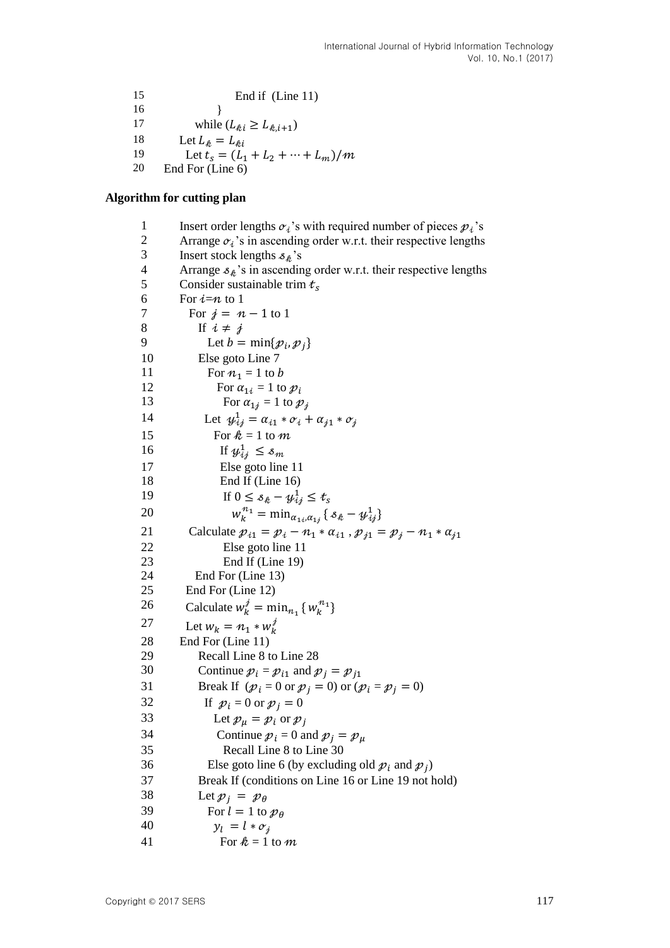```
15 End if (Line 11)
16 } 
17 while (L_{\hat{k}i} \ge L_{\hat{k},i+1})18 Let L_{ik} = L_{ki}19 Let t_s = (L_1 + L_2 + \dots + L_m)/m20 End For (Line 6)
```
#### **Algorithm for cutting plan**

1 Insert order lengths  $\alpha_i$ 's with required number of pieces  $p_i$ 's 2 Arrange  $\alpha_i$ 's in ascending order w.r.t. their respective lengths 3 Insert stock lengths  $s_k$ 's 4 Arrange  $s_k$ 's in ascending order w.r.t. their respective lengths<br>5 Consider sustainable trim  $t_c$ Consider sustainable trim  $t_s$ 6 For  $i=n$  to 1 7 For  $j = n - 1$  to 1 8 If  $i \neq j$ 9 Let  $b = \min\{\mathcal{p}_i, \mathcal{p}_j\}$ 10 Else goto Line 7 11 For  $n_1 = 1$  to b 12 For  $\alpha_{1i} = 1$  to  $p_i$ 13 For  $\alpha_{1i} = 1$  to  $p_i$ 14 Let  $\psi_i^1$ 15 For  $\hat{\mathcal{R}} = 1$  to  $\hat{\mathcal{M}}$ 16 If  $y_i^1$ 17 Else goto line 11 18 End If (Line 16) 19 If  $0 \le s_k - y_i^1$  $\boldsymbol{n}$ 20  $_{,\alpha_{1i}}\{\,s_{k}-y_{ij}^{1}\}$ 21 Calculate  $p_{i1} = p_i - n_1 * \alpha_{i1}$ ,  $p_{j1} = p_j - n_1 * \alpha_{j1}$ 22 Else goto line 11 23 End If (Line 19) 24 End For (Line 13) 25 End For (Line 12) 26 Calculate  $w_k^j = \min_{n_i} \{w_k^{n_1}\}\$ 27 Let  $w_k = n_1 * w_k^j$ 28 End For (Line 11) 29 Recall Line 8 to Line 28 30 Continue  $p_i = p_{i1}$  and  $p_i = p_{i1}$ 31 Break If  $(p_i = 0 \text{ or } p_i = 0)$  or  $(p_i = p_i = 0)$ 32 If  $p_i = 0$  or  $p_i = 0$ 33 Let  $p_{\mu} = p_i$  or  $p_i$ 34 Continue  $p_i = 0$  and  $p_i = p_u$ 35 Recall Line 8 to Line 30 36 Else goto line 6 (by excluding old  $p_i$  and  $p_i$ ) 37 Break If (conditions on Line 16 or Line 19 not hold) 38 Let  $p_i = p_\theta$ 39 For  $l = 1$  to  $p_{\theta}$ 40  $y_l = l * \sigma_i$ 41 For  $k = 1$  to m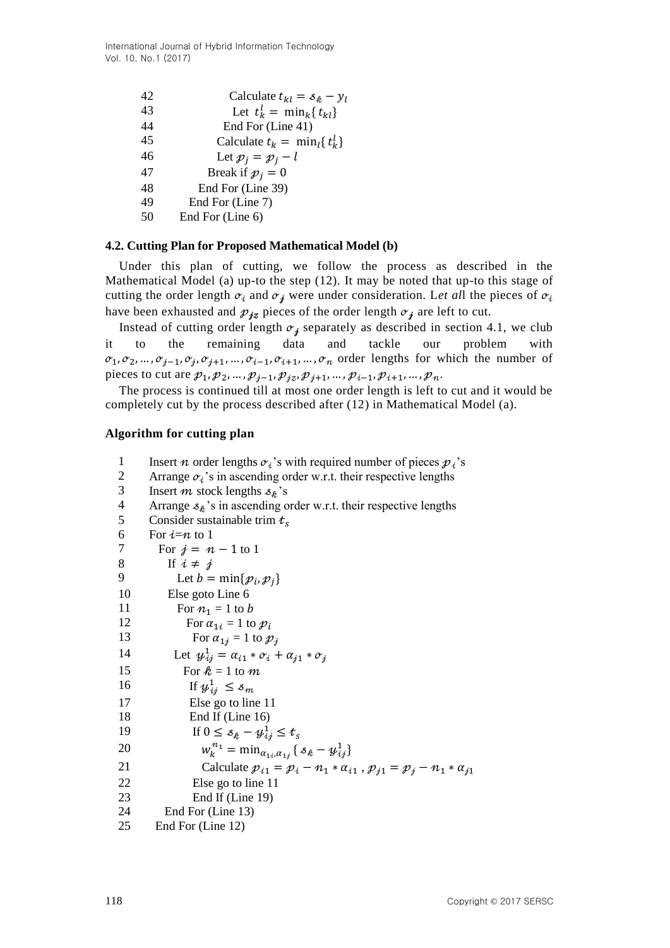International Journal of Hybrid Information Technology Vol. 10, No.1 (2017)

| 42 | Calculate $t_{kl} = s_k - y_l$       |
|----|--------------------------------------|
| 43 | Let $t_k^l = \min_k \{t_{kl}\}\$     |
| 44 | End For (Line 41)                    |
| 45 | Calculate $t_k = \min_i \{ t_k^l \}$ |
| 46 | Let $p_i = p_i - l$                  |
| 47 | Break if $p_i = 0$                   |
| 48 | End For (Line 39)                    |
| 49 | End For (Line 7)                     |
| 50 | End For (Line 6)                     |

### **4.2. Cutting Plan for Proposed Mathematical Model (b)**

Under this plan of cutting, we follow the process as described in the Mathematical Model (a) up-to the step (12). It may be noted that up-to this stage of cutting the order length  $\sigma_i$  and  $\sigma_j$  were under consideration. Let all the pieces of  $\sigma_i$ have been exhausted and  $p_{iz}$  pieces of the order length  $\sigma_i$  are left to cut.

Instead of cutting order length  $\sigma_i$  separately as described in section 4.1, we club it to the remaining data and tackle our problem  $\sigma_1, \sigma_2, ..., \sigma_{i-1}, \sigma_i, \sigma_{i+1}, ..., \sigma_{i-1}, \sigma_{i+1}, ..., \sigma_n$  order lengths for which the number of pieces to cut are  $p_1, p_2, ..., p_{j-1}, p_{jz}, p_{j+1}, ..., p_{i-1}, p_{i+1}, ..., p_n$ .

The process is continued till at most one order length is left to cut and it would be completely cut by the process described after (12) in Mathematical Model (a).

#### **Algorithm for cutting plan**

- 1 Insert *n* order lengths  $\alpha_i$ 's with required number of pieces  $p_i$ 's
- 2 Arrange  $\sigma_i$ 's in ascending order w.r.t. their respective lengths
- 3 Insert m stock lengths  $s_k$ 's
- 4 Arrange  $s_k$ 's in ascending order w.r.t. their respective lengths
- 5 Consider sustainable trim  $t_s$

6 For  $i=n$  to 1 7 For  $j = n - 1$  to 1 8 If  $i \neq j$ 9 Let  $b = \min\{\mathcal{p}_i, \mathcal{p}_i\}$ 10 Else goto Line 6 11 For  $n_1 = 1$  to b 12 For  $\alpha_{1i} = 1$  to  $p_i$ 13 For  $\alpha_{1i} = 1$  to  $p_i$ 14 Let  $y_i^1$ 15 For  $k = 1$  to m 16 If  $y_i^1$ 17 Else go to line 11 18 End If (Line 16) 19 If  $0 \le s_k - y_i^1$ 20  $\boldsymbol{n}$  $_{,\alpha_{1i}}\{\,s_{k}-y_{ij}^{1}\}$ 21 Calculate  $p_{i1} = p_i - n_1 * \alpha_{i1}$ ,  $p_{j1} = p_j - n_1 * \alpha_{j1}$ 22 Else go to line 11 23 End If (Line 19) 24 End For (Line 13) 25 End For (Line 12)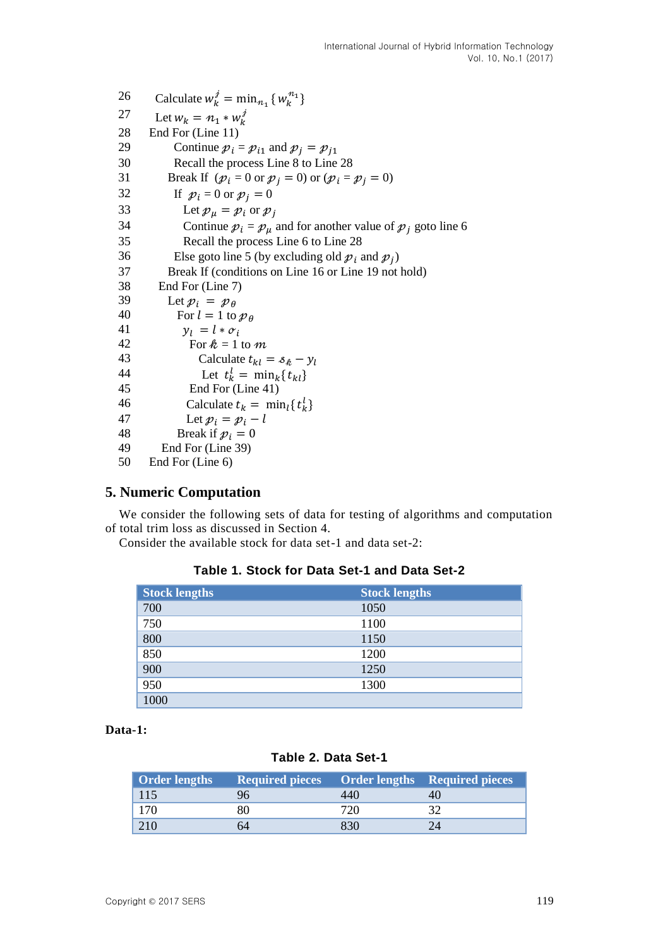26 Calculate  $w_k^j = \min_{n_1} \{w_k^{n_1}\}$ 27 Let  $w_k = n_1 * w_k^j$ 28 End For (Line 11) 29 Continue  $p_i = p_{i1}$  and  $p_j = p_{j1}$ 30 Recall the process Line 8 to Line 28 31 Break If  $(p_i = 0 \text{ or } p_j = 0)$  or  $(p_i = p_j = 0)$ 32 If  $p_i = 0$  or  $p_j = 0$ 33 Let  $p_{\mu} = p_i$  or  $p_j$ 34 Continue  $p_i = p_\mu$  and for another value of  $p_i$  goto line 6 35 Recall the process Line 6 to Line 28 36 Else goto line 5 (by excluding old  $p_i$  and  $p_i$ ) 37 Break If (conditions on Line 16 or Line 19 not hold) 38 End For (Line 7) 39 Let  $p_i = p_\theta$ 40 For  $l = 1$  to  $p_{\theta}$ 41  $y_l = l * \sigma_i$ 42 For  $k = 1$  to m 43 Calculate  $t_{kl} = s_k - y_l$ 44 Let  $t_k^l$ 45 End For (Line 41) 46 Calculate  $t_k = \min_l \{t_k^l\}$ 47 Let  $p_i = p_i - l$ 48 Break if  $p_i = 0$ 49 End For (Line 39) 50 End For (Line 6)

# **5. Numeric Computation**

We consider the following sets of data for testing of algorithms and computation of total trim loss as discussed in Section 4.

Consider the available stock for data set-1 and data set-2:

### **Table 1. Stock for Data Set-1 and Data Set-2**

| <b>Stock lengths</b> | <b>Stock lengths</b> |
|----------------------|----------------------|
| 700                  | 1050                 |
| 750                  | 1100                 |
| 800                  | 1150                 |
| 850                  | 1200                 |
| 900                  | 1250                 |
| 950                  | 1300                 |
| 1000                 |                      |

**Data-1:**

# **Table 2. Data Set-1**

| <b>Order lengths</b> | Required pieces Order lengths Required pieces |  |
|----------------------|-----------------------------------------------|--|
| 115                  |                                               |  |
| 170                  |                                               |  |
| $\sqrt{210}$         |                                               |  |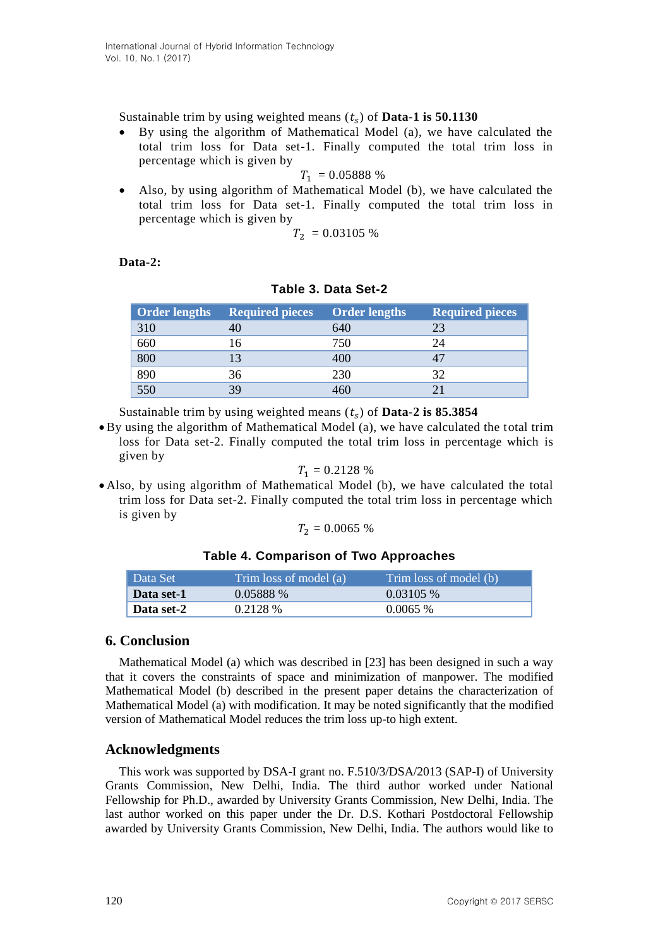Sustainable trim by using weighted means  $(t<sub>s</sub>)$  of **Data-1 is 50.1130** 

 By using the algorithm of Mathematical Model (a), we have calculated the total trim loss for Data set-1. Finally computed the total trim loss in percentage which is given by

$$
T_1 = 0.05888\%
$$

 Also, by using algorithm of Mathematical Model (b), we have calculated the total trim loss for Data set-1. Finally computed the total trim loss in percentage which is given by

$$
T_2 = 0.03105\ \%
$$

**Data-2:** 

| <b>Order lengths</b> | <b>Required pieces</b> | <b>Order lengths</b> | <b>Required pieces</b> |
|----------------------|------------------------|----------------------|------------------------|
| 310                  |                        | 640                  | 23                     |
| 660                  | 6                      | 750                  | 24                     |
| 800                  | 13                     | 400                  |                        |
| 890                  | 36                     | 230                  | 32                     |
| 550                  | 39                     | $460^\circ$          |                        |

### **Table 3. Data Set-2**

Sustainable trim by using weighted means  $(t<sub>s</sub>)$  of **Data-2 is 85.3854** 

 By using the algorithm of Mathematical Model (a), we have calculated the total trim loss for Data set-2. Finally computed the total trim loss in percentage which is given by

$$
T_1 = 0.2128\%
$$

 Also, by using algorithm of Mathematical Model (b), we have calculated the total trim loss for Data set-2. Finally computed the total trim loss in percentage which is given by

$$
T_2 = 0.0065\%
$$

### **Table 4. Comparison of Two Approaches**

| Data Set   | Trim loss of model (a) | Trim loss of model (b) |
|------------|------------------------|------------------------|
| Data set-1 | 0.05888 %              | $0.03105\%$            |
| Data set-2 | $0.2128\%$             | $0.0065\%$             |

# **6. Conclusion**

Mathematical Model (a) which was described in [23] has been designed in such a way that it covers the constraints of space and minimization of manpower. The modified Mathematical Model (b) described in the present paper detains the characterization of Mathematical Model (a) with modification. It may be noted significantly that the modified version of Mathematical Model reduces the trim loss up-to high extent.

# **Acknowledgments**

This work was supported by DSA-I grant no. F.510/3/DSA/2013 (SAP-I) of University Grants Commission, New Delhi, India. The third author worked under National Fellowship for Ph.D., awarded by University Grants Commission, New Delhi, India. The last author worked on this paper under the Dr. D.S. Kothari Postdoctoral Fellowship awarded by University Grants Commission, New Delhi, India. The authors would like to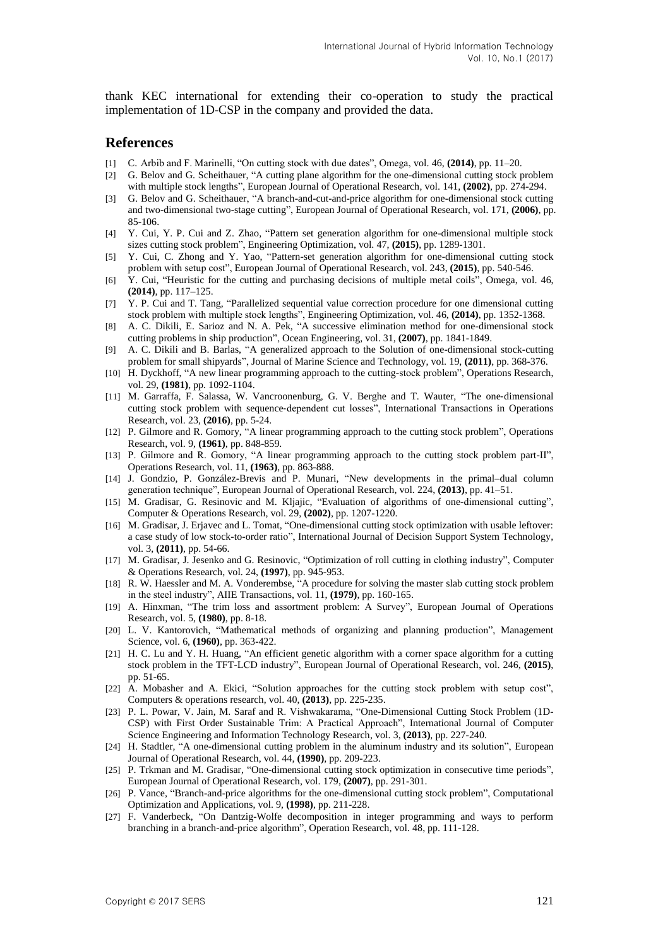thank KEC international for extending their co-operation to study the practical implementation of 1D-CSP in the company and provided the data.

#### **References**

- [1] C. Arbib and F. Marinelli, "On cutting stock with due dates", Omega, vol. 46, **(2014)**, pp. 11–20.
- [2] G. Belov and G. Scheithauer, "A cutting plane algorithm for the one-dimensional cutting stock problem with multiple stock lengths", European Journal of Operational Research, vol. 141, **(2002)**, pp. 274-294.
- [3] G. Belov and G. Scheithauer, "A branch-and-cut-and-price algorithm for one-dimensional stock cutting and two-dimensional two-stage cutting", European Journal of Operational Research, vol. 171, **(2006)**, pp. 85-106.
- [4] Y. Cui, Y. P. Cui and Z. Zhao, "Pattern set generation algorithm for one-dimensional multiple stock sizes cutting stock problem", Engineering Optimization, vol. 47, **(2015)**, pp. 1289-1301.
- [5] Y. Cui, C. Zhong and Y. Yao, "Pattern-set generation algorithm for one-dimensional cutting stock problem with setup cost", European Journal of Operational Research, vol. 243, **(2015)**, pp. 540-546.
- [6] Y. Cui, "Heuristic for the cutting and purchasing decisions of multiple metal coils", Omega, vol. 46, **(2014)**, pp. 117–125.
- [7] Y. P. Cui and T. Tang, "Parallelized sequential value correction procedure for one dimensional cutting stock problem with multiple stock lengths", Engineering Optimization, vol. 46, **(2014)**, pp. 1352-1368.
- [8] A. C. Dikili, E. Sarioz and N. A. Pek, "A successive elimination method for one-dimensional stock cutting problems in ship production", Ocean Engineering, vol. 31, **(2007)**, pp. 1841-1849.
- [9] A. C. Dikili and B. Barlas, "A generalized approach to the Solution of one-dimensional stock-cutting problem for small shipyards", Journal of Marine Science and Technology, vol. 19, **(2011)**, pp. 368-376.
- [10] H. Dyckhoff, "A new linear programming approach to the cutting-stock problem", Operations Research, vol. 29, **(1981)**, pp. 1092-1104.
- [11] M. Garraffa, F. Salassa, W. Vancroonenburg, G. V. Berghe and T. Wauter, "The one‐dimensional cutting stock problem with sequence‐dependent cut losses", International Transactions in Operations Research, vol. 23, **(2016)**, pp. 5-24.
- [12] P. Gilmore and R. Gomory, "A linear programming approach to the cutting stock problem", Operations Research, vol. 9, **(1961)**, pp. 848-859.
- [13] P. Gilmore and R. Gomory, "A linear programming approach to the cutting stock problem part-II", Operations Research, vol. 11, **(1963)**, pp. 863-888.
- [14] J. Gondzio, P. González-Brevis and P. Munari, "New developments in the primal–dual column generation technique", European Journal of Operational Research, vol. 224, **(2013)**, pp. 41–51.
- [15] M. Gradisar, G. Resinovic and M. Kljajic, "Evaluation of algorithms of one-dimensional cutting", Computer & Operations Research, vol. 29, **(2002)**, pp. 1207-1220.
- [16] M. Gradisar, J. Erjavec and L. Tomat, "One-dimensional cutting stock optimization with usable leftover: a case study of low stock-to-order ratio", International Journal of Decision Support System Technology, vol. 3, **(2011)**, pp. 54-66.
- [17] M. Gradisar, J. Jesenko and G. Resinovic, "Optimization of roll cutting in clothing industry", Computer & Operations Research, vol. 24, **(1997)**, pp. 945-953.
- [18] R. W. Haessler and M. A. Vonderembse, "A procedure for solving the master slab cutting stock problem in the steel industry", AIIE Transactions, vol. 11, **(1979)**, pp. 160-165.
- [19] A. Hinxman, "The trim loss and assortment problem: A Survey", European Journal of Operations Research, vol. 5, **(1980)**, pp. 8-18.
- [20] L. V. Kantorovich, "Mathematical methods of organizing and planning production", Management Science, vol. 6, **(1960)**, pp. 363-422.
- [21] H. C. Lu and Y. H. Huang, "An efficient genetic algorithm with a corner space algorithm for a cutting stock problem in the TFT-LCD industry", European Journal of Operational Research, vol. 246, **(2015)**, pp. 51-65.
- [22] A. Mobasher and A. Ekici, "Solution approaches for the cutting stock problem with setup cost", Computers & operations research, vol. 40, **(2013)**, pp. 225-235.
- [23] P. L. Powar, V. Jain, M. Saraf and R. Vishwakarama, "One-Dimensional Cutting Stock Problem (1D-CSP) with First Order Sustainable Trim: A Practical Approach", International Journal of Computer Science Engineering and Information Technology Research, vol. 3, **(2013)**, pp. 227-240.
- [24] H. Stadtler, "A one-dimensional cutting problem in the aluminum industry and its solution", European Journal of Operational Research, vol. 44, **(1990)**, pp. 209-223.
- [25] P. Trkman and M. Gradisar, "One-dimensional cutting stock optimization in consecutive time periods", European Journal of Operational Research, vol. 179, **(2007)**, pp. 291-301.
- [26] P. Vance, "Branch-and-price algorithms for the one-dimensional cutting stock problem", Computational Optimization and Applications, vol. 9, **(1998)**, pp. 211-228.
- [27] F. Vanderbeck, "On Dantzig-Wolfe decomposition in integer programming and ways to perform branching in a branch-and-price algorithm", Operation Research, vol. 48, pp. 111-128.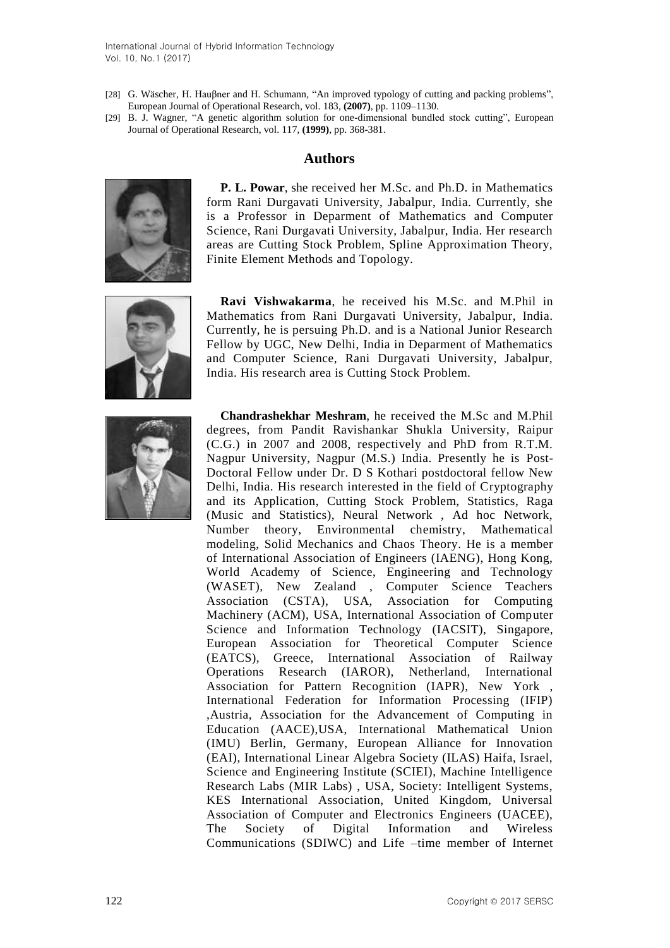International Journal of Hybrid Information Technology Vol. 10, No.1 (2017)

- [28] G. Wäscher, H. Hauβner and H. Schumann, "An improved typology of cutting and packing problems", European Journal of Operational Research, vol. 183, **(2007)**, pp. 1109–1130.
- [29] B. J. Wagner, "A genetic algorithm solution for one-dimensional bundled stock cutting", European Journal of Operational Research, vol. 117, **(1999)**, pp. 368-381.

#### **Authors**



**P. L. Powar**, she received her M.Sc. and Ph.D. in Mathematics form Rani Durgavati University, Jabalpur, India. Currently, she is a Professor in Deparment of Mathematics and Computer Science, Rani Durgavati University, Jabalpur, India. Her research areas are Cutting Stock Problem, Spline Approximation Theory, Finite Element Methods and Topology.



**Ravi Vishwakarma**, he received his M.Sc. and M.Phil in Mathematics from Rani Durgavati University, Jabalpur, India. Currently, he is persuing Ph.D. and is a National Junior Research Fellow by UGC, New Delhi, India in Deparment of Mathematics and Computer Science, Rani Durgavati University, Jabalpur, India. His research area is Cutting Stock Problem.



**Chandrashekhar Meshram**, he received the M.Sc and M.Phil degrees, from Pandit Ravishankar Shukla University, Raipur (C.G.) in 2007 and 2008, respectively and PhD from R.T.M. Nagpur University, Nagpur (M.S.) India. Presently he is Post-Doctoral Fellow under Dr. D S Kothari postdoctoral fellow New Delhi, India. His research interested in the field of Cryptography and its Application, Cutting Stock Problem, Statistics, Raga (Music and Statistics), Neural Network , Ad hoc Network, Number theory, Environmental chemistry, Mathematical modeling, Solid Mechanics and Chaos Theory. He is a member of International Association of Engineers (IAENG), Hong Kong, World Academy of Science, Engineering and Technology (WASET), New Zealand , Computer Science Teachers Association (CSTA), USA, Association for Computing Machinery (ACM), USA, International Association of Computer Science and Information Technology (IACSIT), Singapore, European Association for Theoretical Computer Science (EATCS), Greece, International Association of Railway Operations Research (IAROR), Netherland, International Association for Pattern Recognition (IAPR), New York , International Federation for Information Processing (IFIP) ,Austria, Association for the Advancement of Computing in Education (AACE),USA, International Mathematical Union (IMU) Berlin, Germany, European Alliance for Innovation (EAI), International Linear Algebra Society (ILAS) Haifa, Israel, Science and Engineering Institute (SCIEI), Machine Intelligence Research Labs (MIR Labs) , USA, Society: Intelligent Systems, KES International Association, United Kingdom, Universal Association of Computer and Electronics Engineers (UACEE), The Society of Digital Information and Wireless Communications (SDIWC) and Life –time member of Internet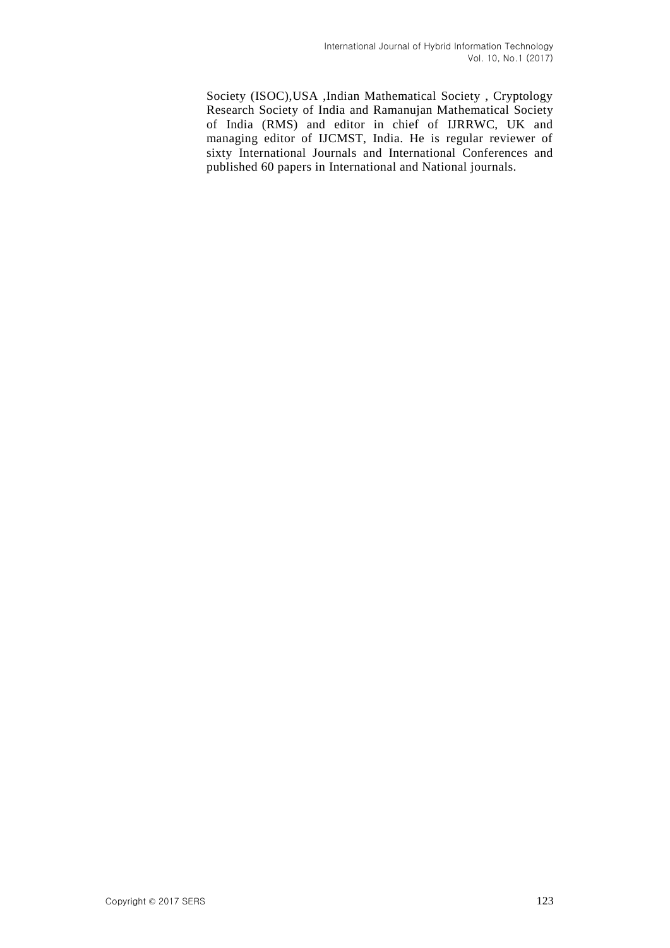Society (ISOC),USA ,Indian Mathematical Society , Cryptology Research Society of India and Ramanujan Mathematical Society of India (RMS) and editor in chief of IJRRWC, UK and managing editor of IJCMST, India. He is regular reviewer of sixty International Journals and International Conferences and published 60 papers in International and National journals.